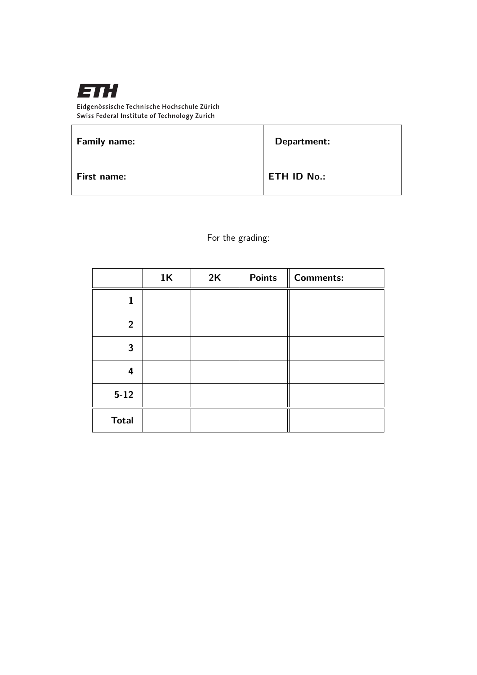

Eidgenössische Technische Hochschule Zürich Swiss Federal Institute of Technology Zurich

| <b>Family name:</b> | Department:        |
|---------------------|--------------------|
| First name:         | <b>ETH ID No.:</b> |

For the grading:

|                | 1K | 2K | <b>Points</b> | <b>Comments:</b> |
|----------------|----|----|---------------|------------------|
|                |    |    |               |                  |
| $\overline{2}$ |    |    |               |                  |
| 3              |    |    |               |                  |
| 4              |    |    |               |                  |
| $5 - 12$       |    |    |               |                  |
| <b>Total</b>   |    |    |               |                  |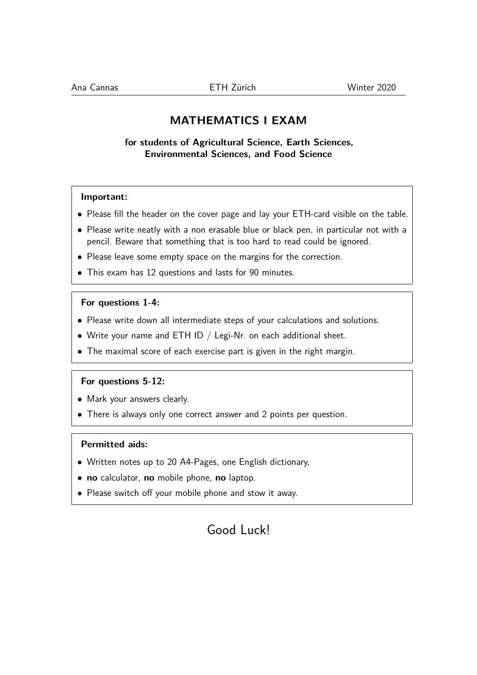## **MATHEMATICS I EXAM**

**for students of Agricultural Science, Earth Sciences, Environmental Sciences, and Food Science**

### **Important:**

- Please fill the header on the cover page and lay your ETH-card visible on the table.
- Please write neatly with a non erasable blue or black pen, in particular not with a pencil. Beware that something that is too hard to read could be ignored.
- Please leave some empty space on the margins for the correction.
- This exam has 12 questions and lasts for 90 minutes.

#### **For questions 1-4:**

- Please write down all intermediate steps of your calculations and solutions.
- Write your name and ETH ID  $/$  Legi-Nr. on each additional sheet.
- The maximal score of each exercise part is given in the right margin.

#### **For questions 5-12:**

- Mark your answers clearly.
- There is always only one correct answer and 2 points per question.

#### **Permitted aids:**

- Written notes up to 20 A4-Pages, one English dictionary,
- **no** calculator, **no** mobile phone, **no** laptop.
- Please switch off your mobile phone and stow it away.

# Good Luck!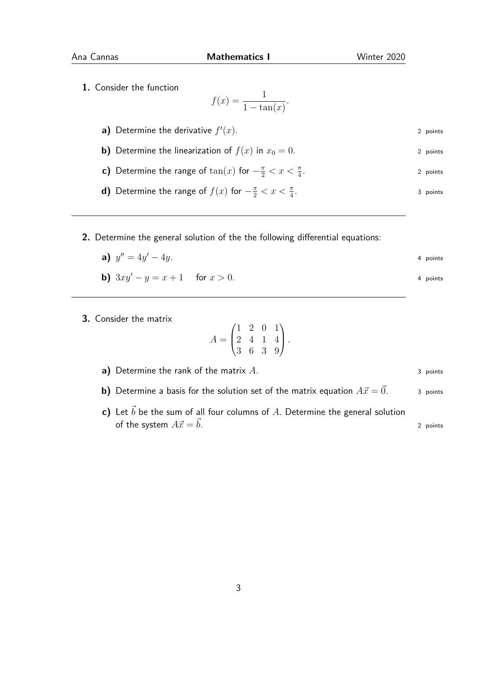**1.** Consider the function

$$
f(x) = \frac{1}{1 - \tan(x)}.
$$

- **a)** Determine the derivative  $f'$  $(x)$ . 2 points
- **b)** Determine the linearization of  $f(x)$  in  $x_0 = 0$ . 2 points
- **c)** Determine the range of  $\tan(x)$  for  $-\frac{\pi}{2} < x < \frac{\pi}{4}$ 2 points
- **d)** Determine the range of  $f(x)$  for  $-\frac{\pi}{2} < x < \frac{\pi}{4}$ . 3 points
- **2.** Determine the general solution of the the following differential equations:
	- **a)**  $y'' = 4y$  $\alpha' - 4y$ . 4 points

**b)** 
$$
3xy' - y = x + 1
$$
 for  $x > 0$ .

**3.** Consider the matrix

$$
A = \begin{pmatrix} 1 & 2 & 0 & 1 \\ 2 & 4 & 1 & 4 \\ 3 & 6 & 3 & 9 \end{pmatrix}.
$$

**a)** Determine the rank of the matrix *A*. 3 points

- **b)** Determine a basis for the solution set of the matrix equation  $A\vec{x} = \vec{0}$ . 3 points
- **c)** Let  $\vec{b}$  be the sum of all four columns of A. Determine the general solution of the system  $A\vec{x} = \vec{b}$ . 2 points

3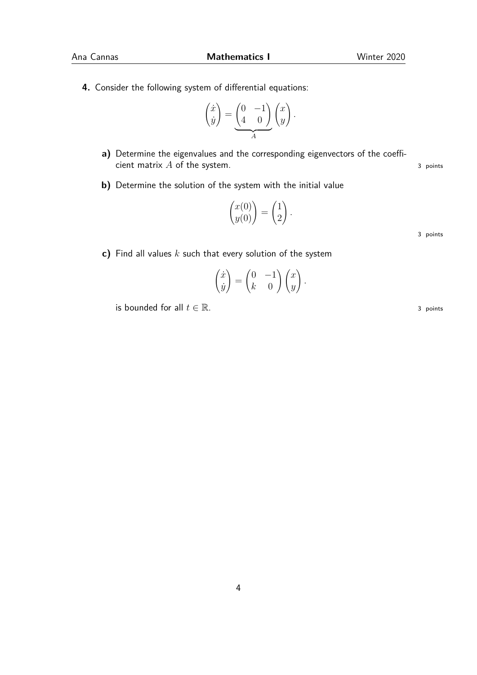**4.** Consider the following system of differential equations:

$$
\begin{pmatrix} \dot{x} \\ \dot{y} \end{pmatrix} = \underbrace{\begin{pmatrix} 0 & -1 \\ 4 & 0 \end{pmatrix}}_{A} \begin{pmatrix} x \\ y \end{pmatrix}.
$$

- **a)** Determine the eigenvalues and the corresponding eigenvectors of the coefficient matrix *A* of the system. 3 points 3 points
- **b)** Determine the solution of the system with the initial value

$$
\begin{pmatrix} x(0) \\ y(0) \end{pmatrix} = \begin{pmatrix} 1 \\ 2 \end{pmatrix}.
$$

3 points

**c)** Find all values *k* such that every solution of the system

$$
\begin{pmatrix} \dot{x} \\ \dot{y} \end{pmatrix} = \begin{pmatrix} 0 & -1 \\ k & 0 \end{pmatrix} \begin{pmatrix} x \\ y \end{pmatrix}.
$$

is bounded for all  $t \in \mathbb{R}$ . 3 points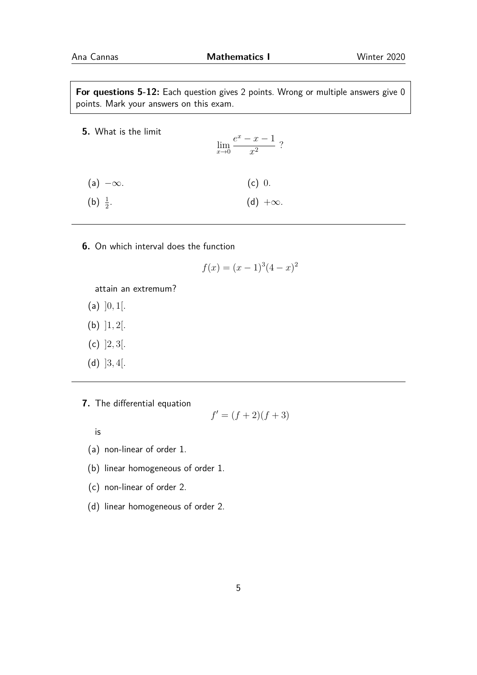**For questions 5-12:** Each question gives 2 points. Wrong or multiple answers give 0 points. Mark your answers on this exam.

- **5.** What is the limit lim*x*→0  $e^x - x - 1$  $\frac{x}{x^2}$ ?  $(a) -\infty$ . (b)  $\frac{1}{2}$ . (c) 0. (d)  $+\infty$ .
- **6.** On which interval does the function

$$
f(x) = (x - 1)^3 (4 - x)^2
$$

attain an extremum?

- (a) ]0*,* 1[.
- (b) ]1*,* 2[.
- (c) ]2*,* 3[.
- (d) ]3*,* 4[.

**7.** The differential equation

$$
f' = (f+2)(f+3)
$$

is

(a) non-linear of order 1.

- (b) linear homogeneous of order 1.
- (c) non-linear of order 2.
- (d) linear homogeneous of order 2.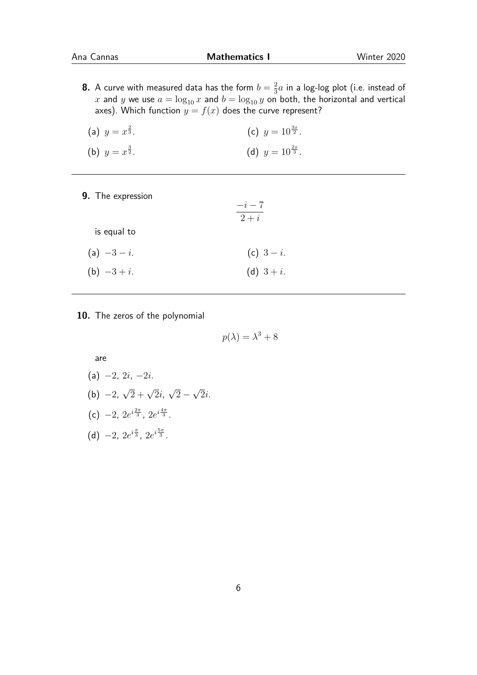**8.** A curve with measured data has the form  $b = \frac{2}{3}$  $\frac{2}{3}a$  in a log-log plot (i.e. instead of *x* and *y* we use  $a = \log_{10} x$  and  $b = \log_{10} y$  on both, the horizontal and vertical axes). Which function  $y = f(x)$  does the curve represent?

| (a) $y = x^{\frac{2}{3}}$ . | (c) $y = 10^{\frac{3x}{2}}$ . |
|-----------------------------|-------------------------------|
| (b) $y = x^{\frac{3}{2}}$ . | (d) $y = 10^{\frac{2x}{3}}$ . |

**9.** The expression

|                | $-i-7$<br>$2+i$ |
|----------------|-----------------|
| is equal to    |                 |
| (a) $-3-i$ .   | (c) $3-i$ .     |
| (b) $-3 + i$ . | (d) $3 + i$ .   |

**10.** The zeros of the polynomial

$$
p(\lambda) = \lambda^3 + 8
$$

are

(a) −2, 2*i*, −2*i*.  $(b) -2,$  $\sqrt{2} + \sqrt{2}i$ , √  $2 -$ √ 2*i*. (c)  $-2$ ,  $2e^{i\frac{2\pi}{3}}$ ,  $2e^{i\frac{4\pi}{3}}$ . (d)  $-2$ ,  $2e^{i\frac{\pi}{3}}$ ,  $2e^{i\frac{5\pi}{3}}$ .